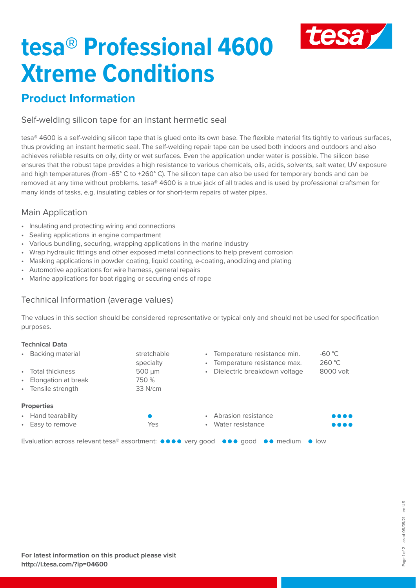

# **tesa® Professional 4600 Xtreme Conditions**

## **Product Information**

Self-welding silicon tape for an instant hermetic seal

tesa® 4600 is a self-welding silicon tape that is glued onto its own base. The flexible material fits tightly to various surfaces, thus providing an instant hermetic seal. The self-welding repair tape can be used both indoors and outdoors and also achieves reliable results on oily, dirty or wet surfaces. Even the application under water is possible. The silicon base ensures that the robust tape provides a high resistance to various chemicals, oils, acids, solvents, salt water, UV exposure and high temperatures (from -65° C to +260° C). The silicon tape can also be used for temporary bonds and can be removed at any time without problems. tesa® 4600 is a true jack of all trades and is used by professional craftsmen for many kinds of tasks, e.g. insulating cables or for short-term repairs of water pipes.

## Main Application

- Insulating and protecting wiring and connections
- Sealing applications in engine compartment
- Various bundling, securing, wrapping applications in the marine industry
- Wrap hydraulic fittings and other exposed metal connections to help prevent corrosion
- Masking applications in powder coating, liquid coating, e-coating, anodizing and plating
- Automotive applications for wire harness, general repairs
- Marine applications for boat rigging or securing ends of rope

## Technical Information (average values)

The values in this section should be considered representative or typical only and should not be used for specification purposes.

#### **Technical Data** • Backing material stretchable specialty • Total thickness 500 µm **Elongation at break** Tensile strength 33 N/cm • Temperature resistance min. -60 °C • Temperature resistance max. 260 °C • Dielectric breakdown voltage 8000 volt **Properties** • Hand tearability Easy to remove Yes • Abrasion resistance • Water resistance Evaluation across relevant tesa® assortment:  $\bullet \bullet \bullet \bullet \bullet$  very good  $\bullet \bullet \bullet \bullet$  good  $\bullet \bullet$  medium  $\bullet$  low